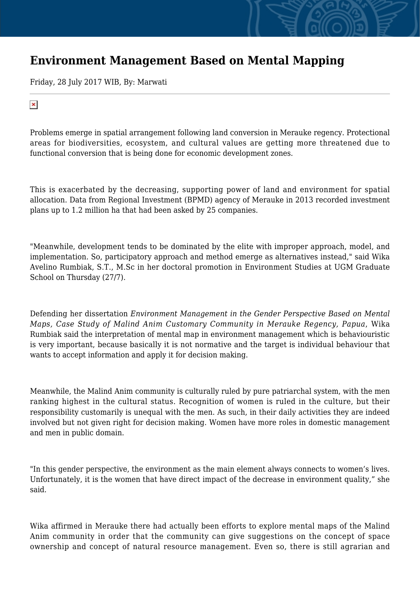## **Environment Management Based on Mental Mapping**

Friday, 28 July 2017 WIB, By: Marwati

## $\pmb{\times}$

Problems emerge in spatial arrangement following land conversion in Merauke regency. Protectional areas for biodiversities, ecosystem, and cultural values are getting more threatened due to functional conversion that is being done for economic development zones.

This is exacerbated by the decreasing, supporting power of land and environment for spatial allocation. Data from Regional Investment (BPMD) agency of Merauke in 2013 recorded investment plans up to 1.2 million ha that had been asked by 25 companies.

"Meanwhile, development tends to be dominated by the elite with improper approach, model, and implementation. So, participatory approach and method emerge as alternatives instead," said Wika Avelino Rumbiak, S.T., M.Sc in her doctoral promotion in Environment Studies at UGM Graduate School on Thursday (27/7).

Defending her dissertation *Environment Management in the Gender Perspective Based on Mental Maps, Case Study of Malind Anim Customary Community in Merauke Regency, Papua*, Wika Rumbiak said the interpretation of mental map in environment management which is behaviouristic is very important, because basically it is not normative and the target is individual behaviour that wants to accept information and apply it for decision making.

Meanwhile, the Malind Anim community is culturally ruled by pure patriarchal system, with the men ranking highest in the cultural status. Recognition of women is ruled in the culture, but their responsibility customarily is unequal with the men. As such, in their daily activities they are indeed involved but not given right for decision making. Women have more roles in domestic management and men in public domain.

"In this gender perspective, the environment as the main element always connects to women's lives. Unfortunately, it is the women that have direct impact of the decrease in environment quality," she said.

Wika affirmed in Merauke there had actually been efforts to explore mental maps of the Malind Anim community in order that the community can give suggestions on the concept of space ownership and concept of natural resource management. Even so, there is still agrarian and